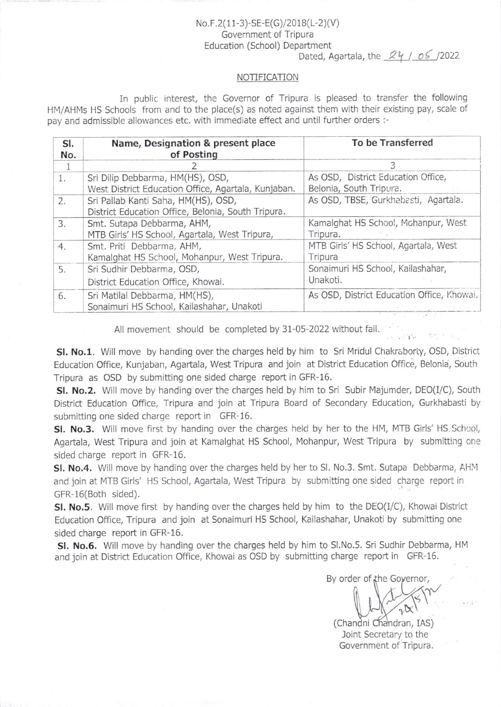## $No.F.2(11-3)-SE-E(G)/2018(L-2)(V)$ Government of Tripura Education (School) Department

Dated. Agartala. the  $24 / 05 / 2022$ 

## NOTIFICATION

In public interest, the Governor of Tripura is pleased to transfer the following HM/AHMs HS Schools from and to the place(s) as noted against them with their existing pay, scale of pay and admissible allowances etc. with immediate effect and until further orders :-

| SI.<br>No. | Name, Designation & present place<br>of Posting     | To be Transferred                          |
|------------|-----------------------------------------------------|--------------------------------------------|
|            |                                                     |                                            |
| 1.         | Sri Dilip Debbarma, HM(HS), OSD,                    | As OSD, District Education Office,         |
|            | West District Education Office, Agartala, Kunjaban. | Belonia, South Tripura.                    |
| 2.         | Sri Pallab Kanti Saha, HM(HS), OSD,                 | As OSD, TBSE, Gurkhabasti, Agartala.       |
|            | District Education Office, Belonia, South Tripura.  |                                            |
| 3.         | Smt. Sutapa Debbarma, AHM,                          | Kamalghat HS School, Mohanpur, West        |
|            | MTB Girls' HS School, Agartala, West Tripura,       | Tripura.                                   |
| 4.         | Smt. Priti Debbarma, AHM,                           | MTB Girls' HS School, Agartala, West       |
|            | Kamalghat HS School, Mohanpur, West Tripura.        | Tripura                                    |
| 5.         | Sri Sudhir Debbarma, OSD,                           | Sonaimuri HS School, Kailashahar,          |
|            | District Education Office, Khowai.                  | Unakoti.                                   |
| 6.         | Sri Matilal Debbarma, HM(HS),                       | As OSD, District Education Office, Khowai. |
|            | Sonaimuri HS School, Kailashahar, Unakoti           |                                            |

All movement should be completed by 31-05-2022 without fail.

SI. No.1. Will move by handing over the charges held by him to Sri Mridul Chakraborty, OSD, District Education Office, Kunjaban, Agartala, West Tripura and join at District Education Offlce, Belonia, South Tripura as OSD by submitting one sided charge report in GFR-16.

SI. No.2. Will move by handing over the charges held by him to Sri Subir Majumder, DEO(I/C), South District Education Office, Tripura and join at Tripura Board of Secondary Education, Gurkhabasti by submitting one sided charge report in GFR-16.

SI. No.3. Will move first by handing over the charges held by her to the HM, MTB Girls' HS, School, Agartala, West Tripura and join at Kamalghat HS School, Mohanpur, West Tripura by submitting one sided charge report in GFR-16.

SI. No.4. Will move by handing over the charges held by her to SI. No.3. Smt. Sutapa Debbarma, AHM and join at MTB Girls' HS School, Agartala, West Tripura by submitting one sided charge report in GFR-16(Both sided).

**SI. No.5.** Will move first by handing over the charges held by him to the  $DEO(I/C)$ , Khowai District Education Office, Tripura and join at Sonaimuri HS School, Kailashahar, Unakoti by submitting one sided charge report in GFR-16.

SI. No.6. Will move by handing over the charges held by him to SI.No.5. Sri Sudhir Debbarma, HM and join at District Education Office, Khowai as OSD by submitting charge report in GFR-16.

By order of the Governor,

 $. \cdot$  t, .

(Chandni Chandran, IAS) Joint Secretary to the Government of Tripura.